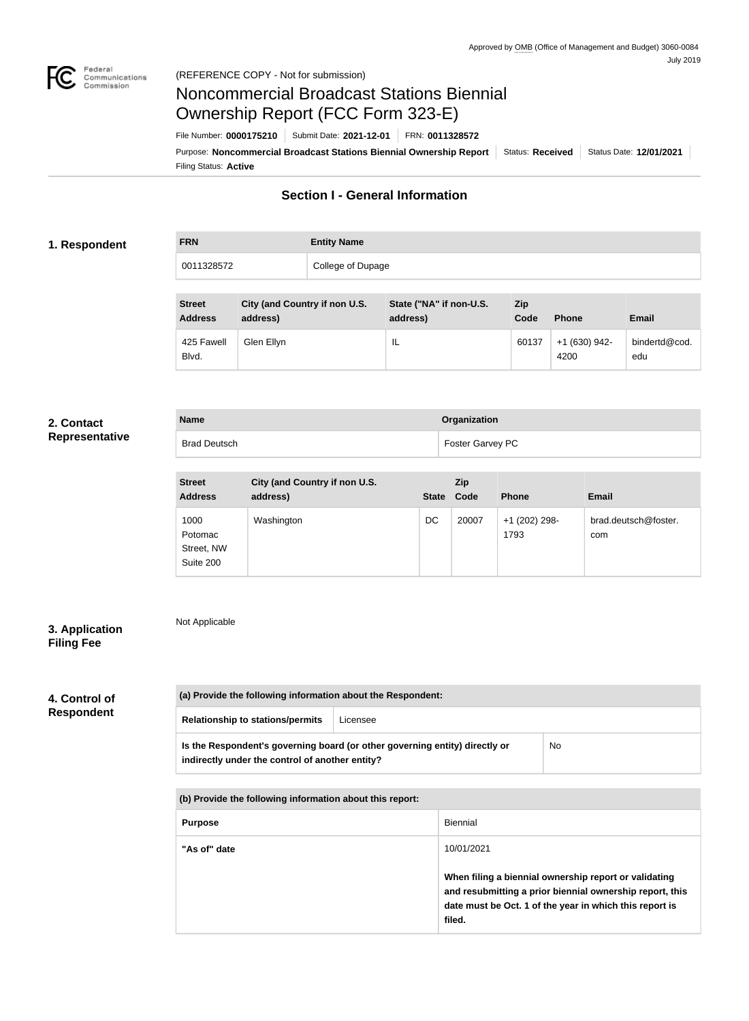

# Noncommercial Broadcast Stations Biennial Ownership Report (FCC Form 323-E)

**Name Organization**

Filing Status: **Active** Purpose: Noncommercial Broadcast Stations Biennial Ownership Report | Status: Received | Status Date: 12/01/2021 File Number: **0000175210** Submit Date: **2021-12-01** FRN: **0011328572**

# **Section I - General Information**

### **1. Respondent**

**FRN Entity Name** 0011328572 College of Dupage

| <b>Street</b><br><b>Address</b> | City (and Country if non U.S.<br>address) | State ("NA" if non-U.S.<br>address) | <b>Zip</b><br>Code | <b>Phone</b>            | <b>Email</b>         |
|---------------------------------|-------------------------------------------|-------------------------------------|--------------------|-------------------------|----------------------|
| 425 Fawell<br>Blvd.             | Glen Ellyn                                | IL                                  | 60137              | $+1$ (630) 942-<br>4200 | bindertd@cod.<br>edu |

### **2. Contact Representative**

|  |  | Representative |  |
|--|--|----------------|--|
|  |  |                |  |

| <b>Brad Deutsch</b>             |                                           |    | Foster Garvey PC  |               |                      |  |
|---------------------------------|-------------------------------------------|----|-------------------|---------------|----------------------|--|
| <b>Street</b><br><b>Address</b> | City (and Country if non U.S.<br>address) |    | Zip<br>State Code | <b>Phone</b>  | Email                |  |
| 1000                            | Washington                                | DC | 20007             | +1 (202) 298- | brad.deutsch@foster. |  |

1793

com

**3. Application Filing Fee**

Not Applicable

Potomac Street, NW Suite 200

# **4. Control of Respondent**

**(a) Provide the following information about the Respondent: Relationship to stations/permits** Licensee **Is the Respondent's governing board (or other governing entity) directly or indirectly under the control of another entity?** No

**(b) Provide the following information about this report:**

| <b>Purpose</b> | Biennial                                                                                                                                                                               |
|----------------|----------------------------------------------------------------------------------------------------------------------------------------------------------------------------------------|
| "As of" date   | 10/01/2021                                                                                                                                                                             |
|                | When filing a biennial ownership report or validating<br>and resubmitting a prior biennial ownership report, this<br>date must be Oct. 1 of the year in which this report is<br>filed. |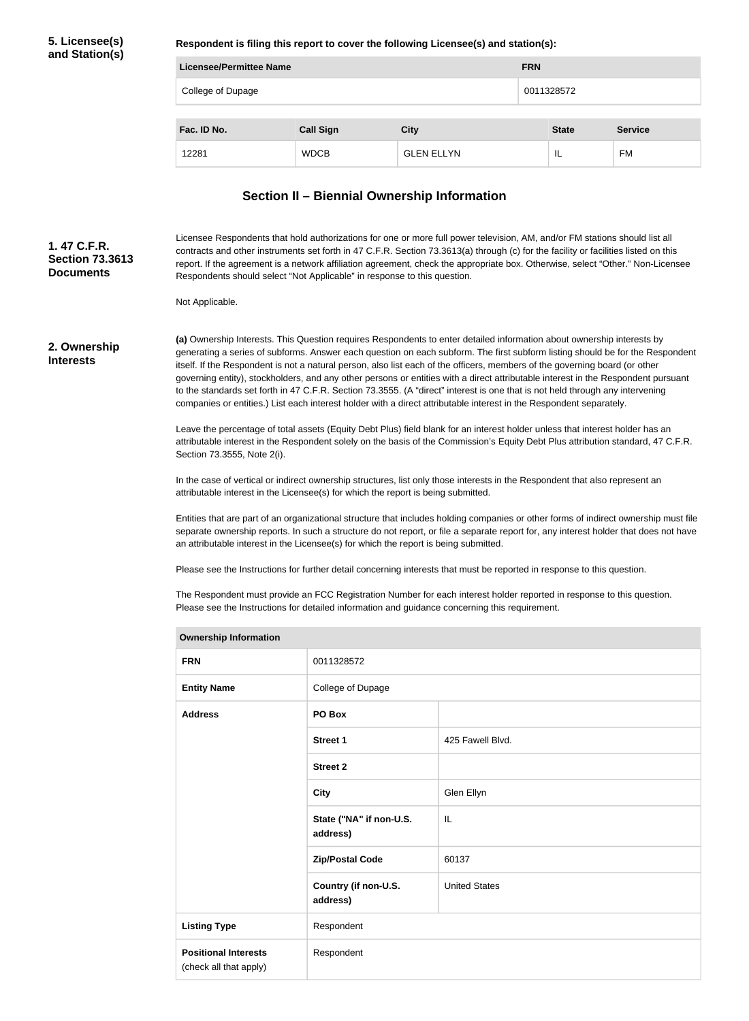### **5. Licensee(s) and Station(s)**

**Respondent is filing this report to cover the following Licensee(s) and station(s):**

| Licensee/Permittee Name |                  |                   |            | <b>FRN</b>   |                |  |
|-------------------------|------------------|-------------------|------------|--------------|----------------|--|
| College of Dupage       |                  |                   | 0011328572 |              |                |  |
|                         |                  |                   |            |              |                |  |
| Fac. ID No.             | <b>Call Sign</b> | <b>City</b>       |            | <b>State</b> | <b>Service</b> |  |
| 12281                   | <b>WDCB</b>      | <b>GLEN ELLYN</b> |            | IL           | FM             |  |

## **Section II – Biennial Ownership Information**

Licensee Respondents that hold authorizations for one or more full power television, AM, and/or FM stations should list all contracts and other instruments set forth in 47 C.F.R. Section 73.3613(a) through (c) for the facility or facilities listed on this report. If the agreement is a network affiliation agreement, check the appropriate box. Otherwise, select "Other." Non-Licensee Respondents should select "Not Applicable" in response to this question. **Section 73.3613 Documents**

Not Applicable.

### **2. Ownership Interests**

**1. 47 C.F.R.** 

**(a)** Ownership Interests. This Question requires Respondents to enter detailed information about ownership interests by generating a series of subforms. Answer each question on each subform. The first subform listing should be for the Respondent itself. If the Respondent is not a natural person, also list each of the officers, members of the governing board (or other governing entity), stockholders, and any other persons or entities with a direct attributable interest in the Respondent pursuant to the standards set forth in 47 C.F.R. Section 73.3555. (A "direct" interest is one that is not held through any intervening companies or entities.) List each interest holder with a direct attributable interest in the Respondent separately.

Leave the percentage of total assets (Equity Debt Plus) field blank for an interest holder unless that interest holder has an attributable interest in the Respondent solely on the basis of the Commission's Equity Debt Plus attribution standard, 47 C.F.R. Section 73.3555, Note 2(i).

In the case of vertical or indirect ownership structures, list only those interests in the Respondent that also represent an attributable interest in the Licensee(s) for which the report is being submitted.

Entities that are part of an organizational structure that includes holding companies or other forms of indirect ownership must file separate ownership reports. In such a structure do not report, or file a separate report for, any interest holder that does not have an attributable interest in the Licensee(s) for which the report is being submitted.

Please see the Instructions for further detail concerning interests that must be reported in response to this question.

The Respondent must provide an FCC Registration Number for each interest holder reported in response to this question. Please see the Instructions for detailed information and guidance concerning this requirement.

| <b>Ownership Information</b>                          |                                     |                      |  |
|-------------------------------------------------------|-------------------------------------|----------------------|--|
| <b>FRN</b>                                            | 0011328572                          |                      |  |
| <b>Entity Name</b>                                    | College of Dupage                   |                      |  |
| <b>Address</b>                                        | PO Box                              |                      |  |
|                                                       | <b>Street 1</b>                     | 425 Fawell Blvd.     |  |
|                                                       | <b>Street 2</b>                     |                      |  |
|                                                       | <b>City</b>                         | Glen Ellyn           |  |
|                                                       | State ("NA" if non-U.S.<br>address) | L                    |  |
|                                                       | <b>Zip/Postal Code</b>              | 60137                |  |
|                                                       | Country (if non-U.S.<br>address)    | <b>United States</b> |  |
| <b>Listing Type</b>                                   | Respondent                          |                      |  |
| <b>Positional Interests</b><br>(check all that apply) | Respondent                          |                      |  |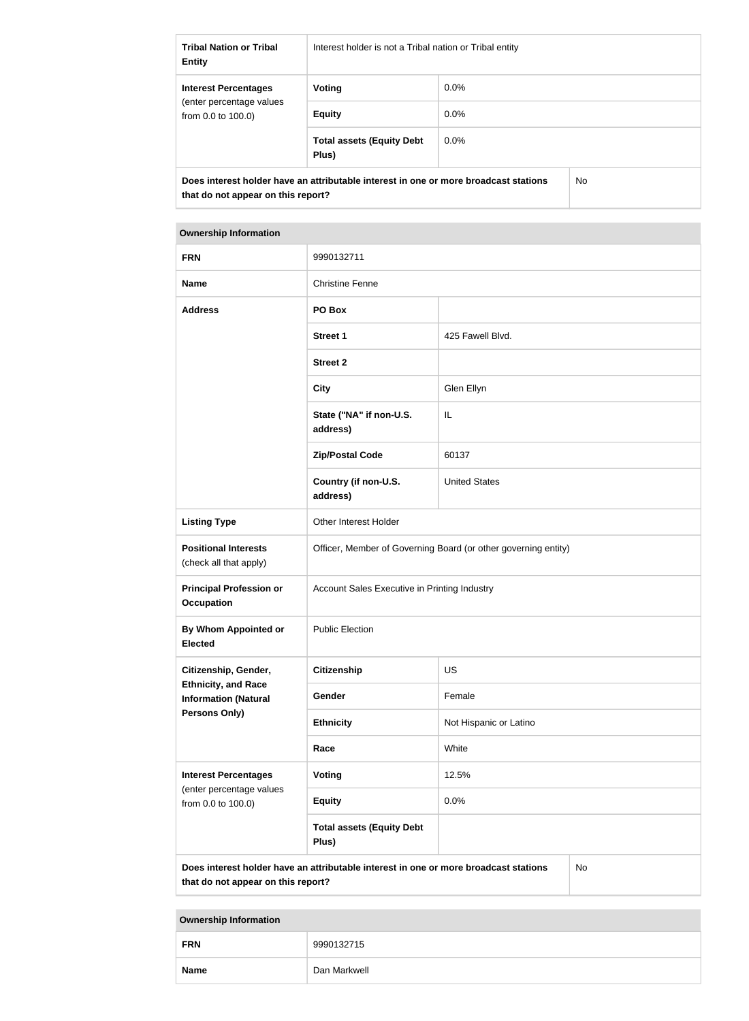| <b>Tribal Nation or Tribal</b><br><b>Entity</b>                                                                                   | Interest holder is not a Tribal nation or Tribal entity |         |  |  |
|-----------------------------------------------------------------------------------------------------------------------------------|---------------------------------------------------------|---------|--|--|
| <b>Interest Percentages</b>                                                                                                       | Voting                                                  | $0.0\%$ |  |  |
| (enter percentage values)<br>from $0.0$ to $100.0$ )                                                                              | <b>Equity</b>                                           | $0.0\%$ |  |  |
|                                                                                                                                   | <b>Total assets (Equity Debt</b><br>Plus)               | $0.0\%$ |  |  |
| Does interest holder have an attributable interest in one or more broadcast stations<br>No.<br>that do not appear on this report? |                                                         |         |  |  |

| <b>Ownership Information</b>                              |                                                                                      |                        |    |  |  |
|-----------------------------------------------------------|--------------------------------------------------------------------------------------|------------------------|----|--|--|
| <b>FRN</b>                                                | 9990132711                                                                           |                        |    |  |  |
| <b>Name</b>                                               | <b>Christine Fenne</b>                                                               |                        |    |  |  |
| <b>Address</b>                                            | PO Box                                                                               |                        |    |  |  |
|                                                           | <b>Street 1</b>                                                                      | 425 Fawell Blvd.       |    |  |  |
|                                                           | <b>Street 2</b>                                                                      |                        |    |  |  |
|                                                           | <b>City</b>                                                                          | Glen Ellyn             |    |  |  |
|                                                           | State ("NA" if non-U.S.<br>address)                                                  | IL                     |    |  |  |
|                                                           | <b>Zip/Postal Code</b>                                                               | 60137                  |    |  |  |
|                                                           | Country (if non-U.S.<br>address)                                                     | <b>United States</b>   |    |  |  |
| <b>Listing Type</b>                                       | Other Interest Holder                                                                |                        |    |  |  |
| <b>Positional Interests</b><br>(check all that apply)     | Officer, Member of Governing Board (or other governing entity)                       |                        |    |  |  |
| <b>Principal Profession or</b><br><b>Occupation</b>       | Account Sales Executive in Printing Industry                                         |                        |    |  |  |
| By Whom Appointed or<br><b>Elected</b>                    | <b>Public Election</b>                                                               |                        |    |  |  |
| Citizenship, Gender,                                      | <b>Citizenship</b>                                                                   | <b>US</b>              |    |  |  |
| <b>Ethnicity, and Race</b><br><b>Information (Natural</b> | Gender                                                                               | Female                 |    |  |  |
| <b>Persons Only)</b>                                      | <b>Ethnicity</b>                                                                     | Not Hispanic or Latino |    |  |  |
|                                                           | Race                                                                                 | White                  |    |  |  |
| <b>Interest Percentages</b><br>(enter percentage values   | <b>Voting</b>                                                                        | 12.5%                  |    |  |  |
| from 0.0 to 100.0)                                        | <b>Equity</b>                                                                        | 0.0%                   |    |  |  |
|                                                           | <b>Total assets (Equity Debt</b><br>Plus)                                            |                        |    |  |  |
| that do not appear on this report?                        | Does interest holder have an attributable interest in one or more broadcast stations |                        | No |  |  |

# **Ownership Information FRN** 9990132715 **Name** Dan Markwell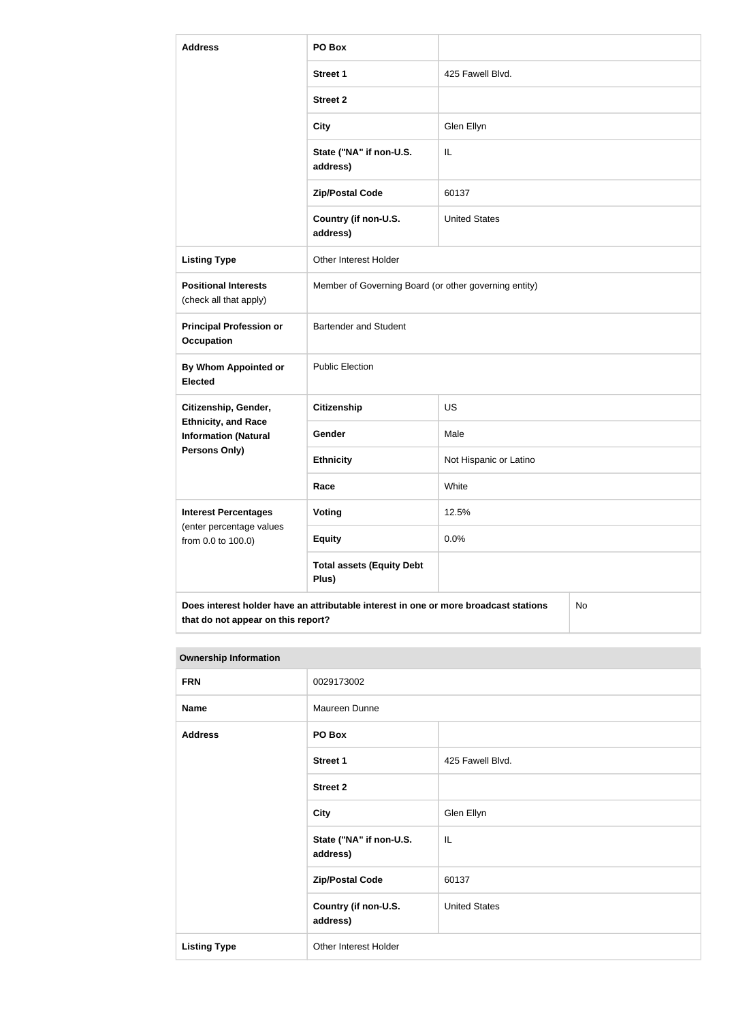| <b>Address</b>                                                                             | PO Box                                                |                        |  |  |
|--------------------------------------------------------------------------------------------|-------------------------------------------------------|------------------------|--|--|
|                                                                                            | <b>Street 1</b>                                       | 425 Fawell Blvd.       |  |  |
|                                                                                            | <b>Street 2</b>                                       |                        |  |  |
|                                                                                            | <b>City</b>                                           | Glen Ellyn             |  |  |
|                                                                                            | State ("NA" if non-U.S.<br>address)                   | IL                     |  |  |
|                                                                                            | <b>Zip/Postal Code</b>                                | 60137                  |  |  |
|                                                                                            | Country (if non-U.S.<br>address)                      | <b>United States</b>   |  |  |
| <b>Listing Type</b>                                                                        | Other Interest Holder                                 |                        |  |  |
| <b>Positional Interests</b><br>(check all that apply)                                      | Member of Governing Board (or other governing entity) |                        |  |  |
| <b>Principal Profession or</b><br><b>Occupation</b>                                        | <b>Bartender and Student</b>                          |                        |  |  |
| <b>By Whom Appointed or</b><br><b>Elected</b>                                              | <b>Public Election</b>                                |                        |  |  |
| Citizenship, Gender,                                                                       | <b>Citizenship</b>                                    | US                     |  |  |
| <b>Ethnicity, and Race</b><br><b>Information (Natural</b>                                  | Gender                                                | Male                   |  |  |
| Persons Only)                                                                              | <b>Ethnicity</b>                                      | Not Hispanic or Latino |  |  |
|                                                                                            | Race                                                  | White                  |  |  |
| <b>Interest Percentages</b><br>(enter percentage values                                    | <b>Voting</b>                                         | 12.5%                  |  |  |
| from 0.0 to 100.0)                                                                         | <b>Equity</b>                                         | 0.0%                   |  |  |
|                                                                                            | <b>Total assets (Equity Debt</b><br>Plus)             |                        |  |  |
| Does interest holder have an attributable interest in one or more broadcast stations<br>No |                                                       |                        |  |  |

| <b>Ownership Information</b> |                                     |                      |  |  |
|------------------------------|-------------------------------------|----------------------|--|--|
| <b>FRN</b>                   | 0029173002                          |                      |  |  |
| <b>Name</b>                  | Maureen Dunne                       |                      |  |  |
| <b>Address</b>               | PO Box                              |                      |  |  |
|                              | <b>Street 1</b>                     | 425 Fawell Blvd.     |  |  |
|                              | <b>Street 2</b>                     |                      |  |  |
|                              | <b>City</b>                         | Glen Ellyn           |  |  |
|                              | State ("NA" if non-U.S.<br>address) | IL                   |  |  |
|                              | <b>Zip/Postal Code</b>              | 60137                |  |  |
|                              | Country (if non-U.S.<br>address)    | <b>United States</b> |  |  |
| <b>Listing Type</b>          | Other Interest Holder               |                      |  |  |

**that do not appear on this report?**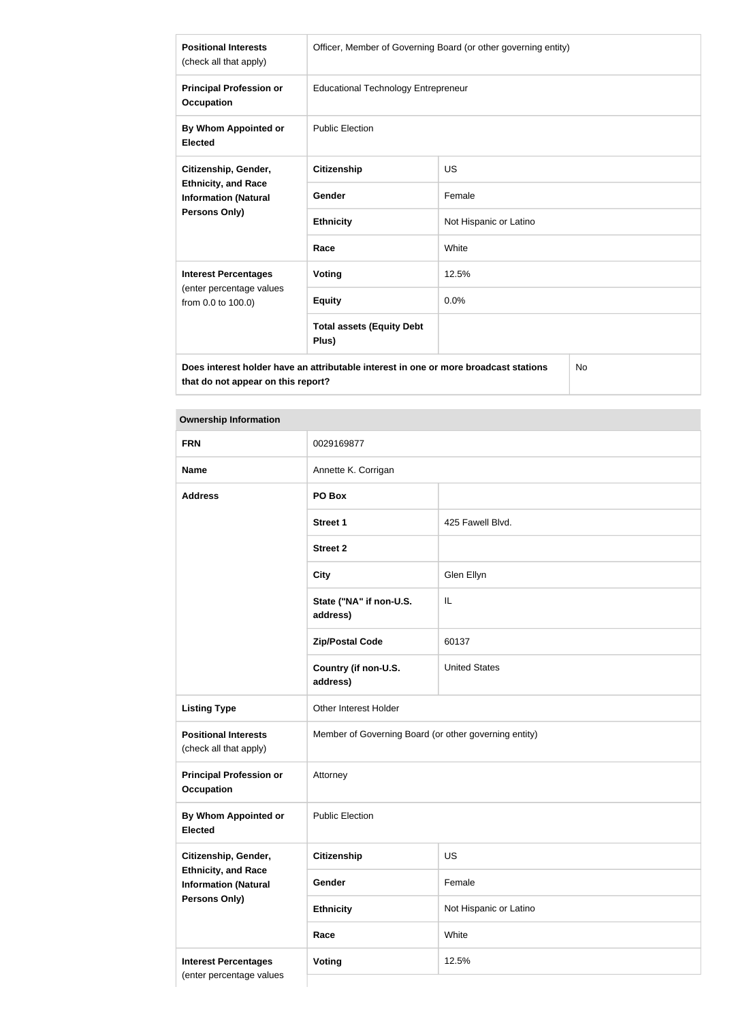| <b>Positional Interests</b><br>(check all that apply)                                                | Officer, Member of Governing Board (or other governing entity) |                        |  |  |
|------------------------------------------------------------------------------------------------------|----------------------------------------------------------------|------------------------|--|--|
| <b>Principal Profession or</b><br><b>Occupation</b>                                                  | <b>Educational Technology Entrepreneur</b>                     |                        |  |  |
| By Whom Appointed or<br><b>Elected</b>                                                               | <b>Public Election</b>                                         |                        |  |  |
| Citizenship, Gender,                                                                                 | <b>Citizenship</b>                                             | <b>US</b>              |  |  |
| <b>Ethnicity, and Race</b><br><b>Information (Natural</b>                                            | Gender                                                         | Female                 |  |  |
| Persons Only)                                                                                        | <b>Ethnicity</b>                                               | Not Hispanic or Latino |  |  |
|                                                                                                      | Race                                                           | White                  |  |  |
| <b>Interest Percentages</b>                                                                          | <b>Voting</b>                                                  | 12.5%                  |  |  |
| (enter percentage values<br>from 0.0 to 100.0)                                                       | <b>Equity</b>                                                  | 0.0%                   |  |  |
|                                                                                                      | <b>Total assets (Equity Debt</b><br>Plus)                      |                        |  |  |
| Does interest holder have an attributable interest in one or more broadcast stations<br>$N_{\Omega}$ |                                                                |                        |  |  |

**Does interest holder have an attributable interest in one or more broadcast stations that do not appear on this report?**

No

## **Ownership Information**

| <b>FRN</b>                                                | 0029169877                                            |                        |  |
|-----------------------------------------------------------|-------------------------------------------------------|------------------------|--|
| <b>Name</b>                                               | Annette K. Corrigan                                   |                        |  |
| <b>Address</b>                                            | PO Box                                                |                        |  |
|                                                           | <b>Street 1</b>                                       | 425 Fawell Blvd.       |  |
|                                                           | <b>Street 2</b>                                       |                        |  |
|                                                           | <b>City</b>                                           | Glen Ellyn             |  |
|                                                           | State ("NA" if non-U.S.<br>address)                   | IL                     |  |
|                                                           | <b>Zip/Postal Code</b>                                | 60137                  |  |
|                                                           | Country (if non-U.S.<br>address)                      | <b>United States</b>   |  |
| <b>Listing Type</b>                                       | Other Interest Holder                                 |                        |  |
| <b>Positional Interests</b><br>(check all that apply)     | Member of Governing Board (or other governing entity) |                        |  |
| <b>Principal Profession or</b><br><b>Occupation</b>       | Attorney                                              |                        |  |
| <b>By Whom Appointed or</b><br><b>Elected</b>             | <b>Public Election</b>                                |                        |  |
| Citizenship, Gender,                                      | <b>Citizenship</b>                                    | US                     |  |
| <b>Ethnicity, and Race</b><br><b>Information (Natural</b> | Gender                                                | Female                 |  |
| <b>Persons Only)</b>                                      | <b>Ethnicity</b>                                      | Not Hispanic or Latino |  |
|                                                           | Race                                                  | White                  |  |
| <b>Interest Percentages</b><br>(enter percentage values   | <b>Voting</b>                                         | 12.5%                  |  |
|                                                           |                                                       |                        |  |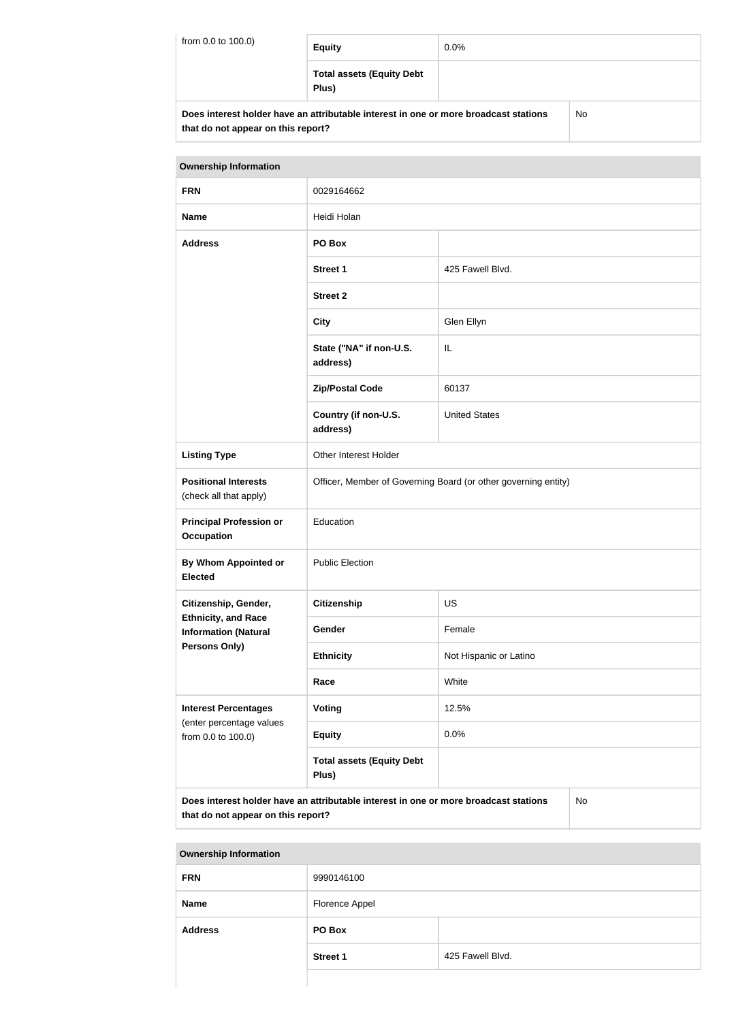| from 0.0 to 100.0) | <b>Equity</b>                                                                        | $0.0\%$ |     |
|--------------------|--------------------------------------------------------------------------------------|---------|-----|
|                    | <b>Total assets (Equity Debt</b><br>Plus)                                            |         |     |
|                    | Does interest holder have an attributable interest in one or more broadcast stations |         | No. |

**that do not appear on this report?**

| <b>Ownership Information</b>                                                                                                     |                                                                |                        |  |  |
|----------------------------------------------------------------------------------------------------------------------------------|----------------------------------------------------------------|------------------------|--|--|
| <b>FRN</b>                                                                                                                       | 0029164662                                                     |                        |  |  |
| <b>Name</b>                                                                                                                      | Heidi Holan                                                    |                        |  |  |
| <b>Address</b>                                                                                                                   | PO Box                                                         |                        |  |  |
|                                                                                                                                  | <b>Street 1</b>                                                | 425 Fawell Blvd.       |  |  |
|                                                                                                                                  | <b>Street 2</b>                                                |                        |  |  |
|                                                                                                                                  | <b>City</b>                                                    | Glen Ellyn             |  |  |
|                                                                                                                                  | State ("NA" if non-U.S.<br>address)                            | IL                     |  |  |
|                                                                                                                                  | <b>Zip/Postal Code</b>                                         | 60137                  |  |  |
|                                                                                                                                  | Country (if non-U.S.<br>address)                               | <b>United States</b>   |  |  |
| <b>Listing Type</b>                                                                                                              | Other Interest Holder                                          |                        |  |  |
| <b>Positional Interests</b><br>(check all that apply)                                                                            | Officer, Member of Governing Board (or other governing entity) |                        |  |  |
| <b>Principal Profession or</b><br><b>Occupation</b>                                                                              | Education                                                      |                        |  |  |
| By Whom Appointed or<br><b>Elected</b>                                                                                           | <b>Public Election</b>                                         |                        |  |  |
| <b>US</b><br>Citizenship, Gender,<br>Citizenship                                                                                 |                                                                |                        |  |  |
| <b>Ethnicity, and Race</b><br><b>Information (Natural</b>                                                                        | Gender                                                         | Female                 |  |  |
| <b>Persons Only)</b>                                                                                                             | <b>Ethnicity</b>                                               | Not Hispanic or Latino |  |  |
|                                                                                                                                  | White<br>Race                                                  |                        |  |  |
| <b>Interest Percentages</b>                                                                                                      | <b>Voting</b>                                                  | 12.5%                  |  |  |
| (enter percentage values<br>from 0.0 to 100.0)                                                                                   | <b>Equity</b>                                                  | 0.0%                   |  |  |
|                                                                                                                                  | <b>Total assets (Equity Debt</b><br>Plus)                      |                        |  |  |
| Does interest holder have an attributable interest in one or more broadcast stations<br>No<br>that do not appear on this report? |                                                                |                        |  |  |

| <b>Ownership Information</b> |                 |                  |  |
|------------------------------|-----------------|------------------|--|
| <b>FRN</b>                   | 9990146100      |                  |  |
| <b>Name</b>                  | Florence Appel  |                  |  |
| <b>Address</b>               | PO Box          |                  |  |
|                              | <b>Street 1</b> | 425 Fawell Blvd. |  |
|                              |                 |                  |  |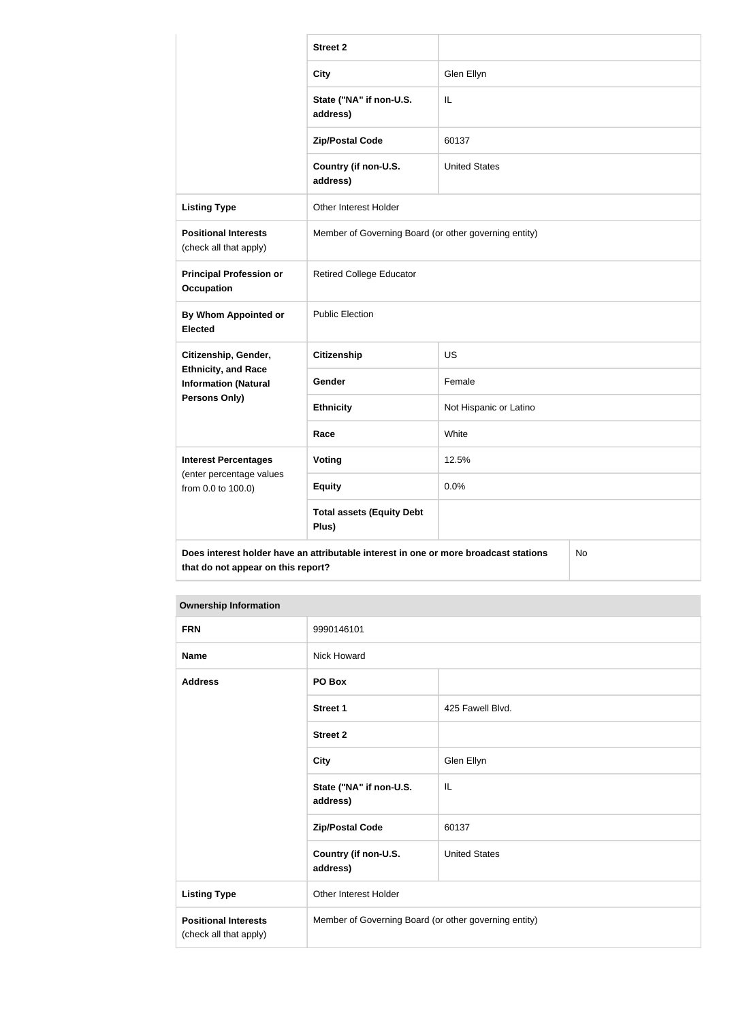|                                                                                                                                  | <b>Street 2</b>                                       |                        |  |
|----------------------------------------------------------------------------------------------------------------------------------|-------------------------------------------------------|------------------------|--|
|                                                                                                                                  | <b>City</b>                                           | Glen Ellyn             |  |
|                                                                                                                                  | State ("NA" if non-U.S.<br>address)                   | IL                     |  |
|                                                                                                                                  | <b>Zip/Postal Code</b>                                | 60137                  |  |
|                                                                                                                                  | Country (if non-U.S.<br>address)                      | <b>United States</b>   |  |
| <b>Listing Type</b>                                                                                                              | Other Interest Holder                                 |                        |  |
| <b>Positional Interests</b><br>(check all that apply)                                                                            | Member of Governing Board (or other governing entity) |                        |  |
| <b>Principal Profession or</b><br><b>Occupation</b>                                                                              | <b>Retired College Educator</b>                       |                        |  |
| <b>By Whom Appointed or</b><br><b>Elected</b>                                                                                    | <b>Public Election</b>                                |                        |  |
| Citizenship, Gender,                                                                                                             | <b>Citizenship</b>                                    | <b>US</b>              |  |
| <b>Ethnicity, and Race</b><br><b>Information (Natural</b>                                                                        | Gender                                                | Female                 |  |
| <b>Persons Only)</b>                                                                                                             | <b>Ethnicity</b>                                      | Not Hispanic or Latino |  |
|                                                                                                                                  | Race                                                  | White                  |  |
| <b>Interest Percentages</b>                                                                                                      | Voting                                                | 12.5%                  |  |
| (enter percentage values<br>from 0.0 to 100.0)                                                                                   | <b>Equity</b>                                         | 0.0%                   |  |
|                                                                                                                                  | <b>Total assets (Equity Debt</b><br>Plus)             |                        |  |
| Does interest holder have an attributable interest in one or more broadcast stations<br>No<br>that do not appear on this report? |                                                       |                        |  |

## **Ownership Information**

| <b>FRN</b>                                            | 9990146101                                            |                      |
|-------------------------------------------------------|-------------------------------------------------------|----------------------|
| <b>Name</b>                                           | <b>Nick Howard</b>                                    |                      |
| <b>Address</b>                                        | PO Box                                                |                      |
|                                                       | <b>Street 1</b>                                       | 425 Fawell Blvd.     |
|                                                       | <b>Street 2</b>                                       |                      |
|                                                       | <b>City</b>                                           | Glen Ellyn           |
|                                                       | State ("NA" if non-U.S.<br>address)                   | IL                   |
|                                                       | <b>Zip/Postal Code</b>                                | 60137                |
|                                                       | Country (if non-U.S.<br>address)                      | <b>United States</b> |
| <b>Listing Type</b>                                   | Other Interest Holder                                 |                      |
| <b>Positional Interests</b><br>(check all that apply) | Member of Governing Board (or other governing entity) |                      |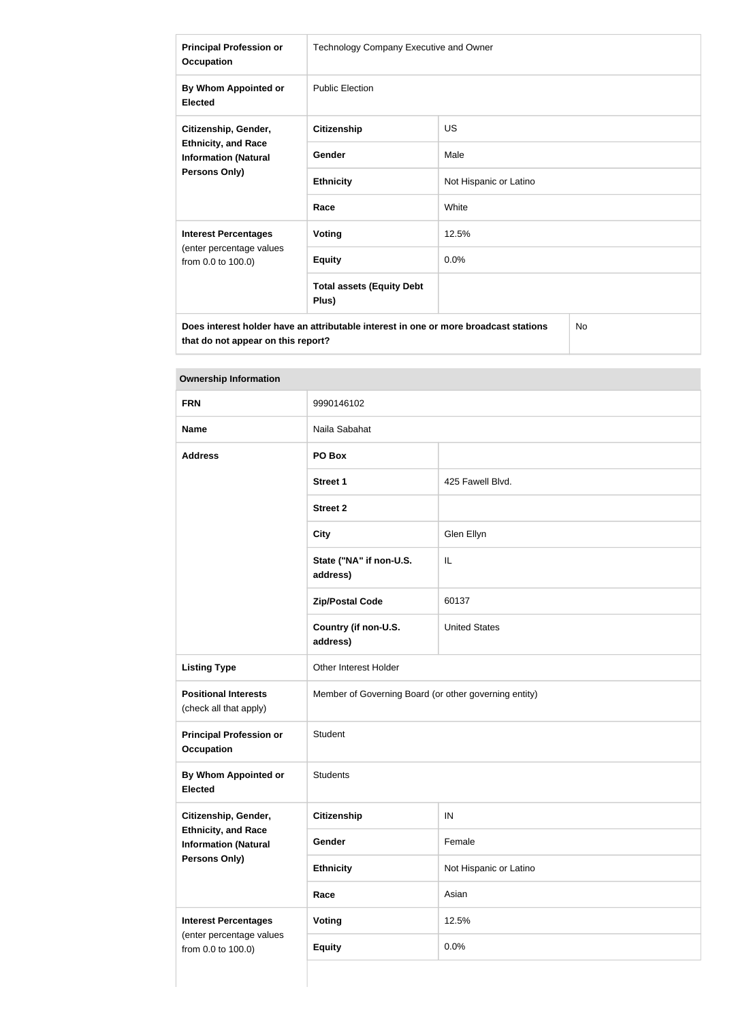| <b>Principal Profession or</b><br><b>Occupation</b>                                                | Technology Company Executive and Owner    |                        |  |
|----------------------------------------------------------------------------------------------------|-------------------------------------------|------------------------|--|
| By Whom Appointed or<br><b>Elected</b>                                                             | <b>Public Election</b>                    |                        |  |
| Citizenship, Gender,<br><b>Ethnicity, and Race</b><br><b>Information (Natural</b><br>Persons Only) | <b>Citizenship</b>                        | <b>US</b>              |  |
|                                                                                                    | Gender                                    | Male                   |  |
|                                                                                                    | <b>Ethnicity</b>                          | Not Hispanic or Latino |  |
|                                                                                                    | Race                                      | White                  |  |
| <b>Interest Percentages</b><br>(enter percentage values<br>from 0.0 to 100.0)                      | <b>Voting</b>                             | 12.5%                  |  |
|                                                                                                    | <b>Equity</b>                             | 0.0%                   |  |
|                                                                                                    | <b>Total assets (Equity Debt</b><br>Plus) |                        |  |
| Does interest holder have an attributable interest in one or more broadcast stations<br><b>No</b>  |                                           |                        |  |

**Ownership Information**

**that do not appear on this report?**

| <b>FRN</b>                                                | 9990146102                                            |                        |  |
|-----------------------------------------------------------|-------------------------------------------------------|------------------------|--|
| <b>Name</b>                                               | Naila Sabahat                                         |                        |  |
| <b>Address</b>                                            | PO Box                                                |                        |  |
|                                                           | <b>Street 1</b>                                       | 425 Fawell Blvd.       |  |
|                                                           | <b>Street 2</b>                                       |                        |  |
|                                                           | <b>City</b>                                           | Glen Ellyn             |  |
|                                                           | State ("NA" if non-U.S.<br>address)                   | IL                     |  |
|                                                           | <b>Zip/Postal Code</b>                                | 60137                  |  |
|                                                           | Country (if non-U.S.<br>address)                      | <b>United States</b>   |  |
| <b>Listing Type</b>                                       | Other Interest Holder                                 |                        |  |
| <b>Positional Interests</b><br>(check all that apply)     | Member of Governing Board (or other governing entity) |                        |  |
| <b>Principal Profession or</b><br><b>Occupation</b>       | Student                                               |                        |  |
| <b>By Whom Appointed or</b><br><b>Elected</b>             | <b>Students</b>                                       |                        |  |
| Citizenship, Gender,                                      | <b>Citizenship</b>                                    | ${\sf IN}$             |  |
| <b>Ethnicity, and Race</b><br><b>Information (Natural</b> | Gender                                                | Female                 |  |
| Persons Only)                                             | <b>Ethnicity</b>                                      | Not Hispanic or Latino |  |
|                                                           | Race                                                  | Asian                  |  |
| <b>Interest Percentages</b><br>(enter percentage values   | Voting<br>12.5%                                       |                        |  |
| from 0.0 to 100.0)                                        | <b>Equity</b>                                         | 0.0%                   |  |
|                                                           |                                                       |                        |  |